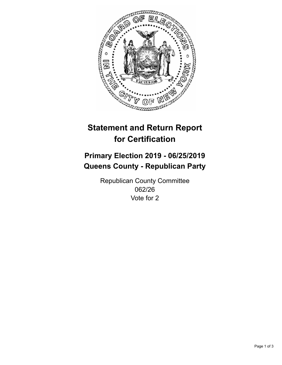

## **Statement and Return Report for Certification**

## **Primary Election 2019 - 06/25/2019 Queens County - Republican Party**

Republican County Committee 062/26 Vote for 2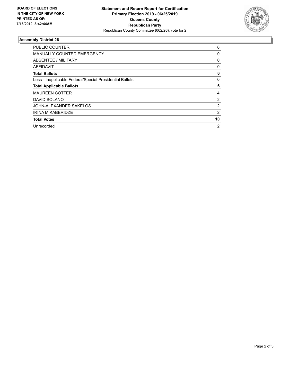

## **Assembly District 26**

| <b>PUBLIC COUNTER</b>                                    | 6              |
|----------------------------------------------------------|----------------|
| <b>MANUALLY COUNTED EMERGENCY</b>                        | 0              |
| ABSENTEE / MILITARY                                      | $\mathbf{0}$   |
| AFFIDAVIT                                                | 0              |
| <b>Total Ballots</b>                                     | 6              |
| Less - Inapplicable Federal/Special Presidential Ballots | 0              |
| <b>Total Applicable Ballots</b>                          | 6              |
| <b>MAUREEN COTTER</b>                                    | 4              |
| DAVID SOLANO                                             | 2              |
| JOHN-ALEXANDER SAKELOS                                   | 2              |
| <b>IRINA MIKABERIDZE</b>                                 | 2              |
| <b>Total Votes</b>                                       | 10             |
| Unrecorded                                               | $\overline{2}$ |